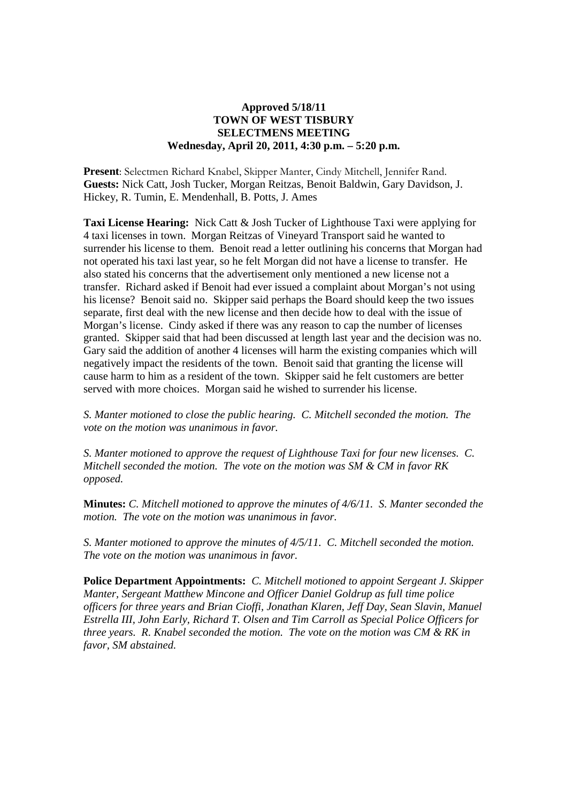## **Approved 5/18/11 TOWN OF WEST TISBURY SELECTMENS MEETING Wednesday, April 20, 2011, 4:30 p.m. – 5:20 p.m.**

**Present**: Selectmen Richard Knabel, Skipper Manter, Cindy Mitchell, Jennifer Rand. **Guests:** Nick Catt, Josh Tucker, Morgan Reitzas, Benoit Baldwin, Gary Davidson, J. Hickey, R. Tumin, E. Mendenhall, B. Potts, J. Ames

**Taxi License Hearing:** Nick Catt & Josh Tucker of Lighthouse Taxi were applying for 4 taxi licenses in town. Morgan Reitzas of Vineyard Transport said he wanted to surrender his license to them. Benoit read a letter outlining his concerns that Morgan had not operated his taxi last year, so he felt Morgan did not have a license to transfer. He also stated his concerns that the advertisement only mentioned a new license not a transfer. Richard asked if Benoit had ever issued a complaint about Morgan's not using his license? Benoit said no. Skipper said perhaps the Board should keep the two issues separate, first deal with the new license and then decide how to deal with the issue of Morgan's license. Cindy asked if there was any reason to cap the number of licenses granted. Skipper said that had been discussed at length last year and the decision was no. Gary said the addition of another 4 licenses will harm the existing companies which will negatively impact the residents of the town. Benoit said that granting the license will cause harm to him as a resident of the town. Skipper said he felt customers are better served with more choices. Morgan said he wished to surrender his license.

*S. Manter motioned to close the public hearing. C. Mitchell seconded the motion. The vote on the motion was unanimous in favor.*

*S. Manter motioned to approve the request of Lighthouse Taxi for four new licenses. C. Mitchell seconded the motion. The vote on the motion was SM & CM in favor RK opposed.* 

**Minutes:** *C. Mitchell motioned to approve the minutes of 4/6/11. S. Manter seconded the motion. The vote on the motion was unanimous in favor.*

*S. Manter motioned to approve the minutes of 4/5/11. C. Mitchell seconded the motion. The vote on the motion was unanimous in favor.*

**Police Department Appointments:** *C. Mitchell motioned to appoint Sergeant J. Skipper Manter, Sergeant Matthew Mincone and Officer Daniel Goldrup as full time police officers for three years and Brian Cioffi, Jonathan Klaren, Jeff Day, Sean Slavin, Manuel Estrella III, John Early, Richard T. Olsen and Tim Carroll as Special Police Officers for three years. R. Knabel seconded the motion. The vote on the motion was CM & RK in favor, SM abstained.*